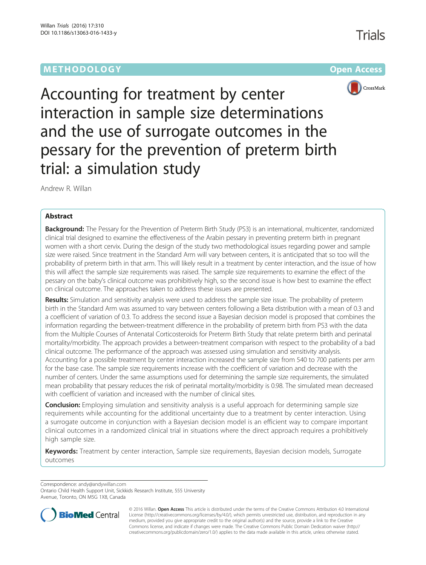# **METHODOLOGY CONSUMING ACCESS CONSUMING ACCESS**

Trials





Accounting for treatment by center interaction in sample size determinations and the use of surrogate outcomes in the pessary for the prevention of preterm birth trial: a simulation study

Andrew R. Willan

## Abstract

Background: The Pessary for the Prevention of Preterm Birth Study (PS3) is an international, multicenter, randomized clinical trial designed to examine the effectiveness of the Arabin pessary in preventing preterm birth in pregnant women with a short cervix. During the design of the study two methodological issues regarding power and sample size were raised. Since treatment in the Standard Arm will vary between centers, it is anticipated that so too will the probability of preterm birth in that arm. This will likely result in a treatment by center interaction, and the issue of how this will affect the sample size requirements was raised. The sample size requirements to examine the effect of the pessary on the baby's clinical outcome was prohibitively high, so the second issue is how best to examine the effect on clinical outcome. The approaches taken to address these issues are presented.

Results: Simulation and sensitivity analysis were used to address the sample size issue. The probability of preterm birth in the Standard Arm was assumed to vary between centers following a Beta distribution with a mean of 0.3 and a coefficient of variation of 0.3. To address the second issue a Bayesian decision model is proposed that combines the information regarding the between-treatment difference in the probability of preterm birth from PS3 with the data from the Multiple Courses of Antenatal Corticosteroids for Preterm Birth Study that relate preterm birth and perinatal mortality/morbidity. The approach provides a between-treatment comparison with respect to the probability of a bad clinical outcome. The performance of the approach was assessed using simulation and sensitivity analysis. Accounting for a possible treatment by center interaction increased the sample size from 540 to 700 patients per arm for the base case. The sample size requirements increase with the coefficient of variation and decrease with the number of centers. Under the same assumptions used for determining the sample size requirements, the simulated mean probability that pessary reduces the risk of perinatal mortality/morbidity is 0.98. The simulated mean decreased with coefficient of variation and increased with the number of clinical sites.

**Conclusion:** Employing simulation and sensitivity analysis is a useful approach for determining sample size requirements while accounting for the additional uncertainty due to a treatment by center interaction. Using a surrogate outcome in conjunction with a Bayesian decision model is an efficient way to compare important clinical outcomes in a randomized clinical trial in situations where the direct approach requires a prohibitively high sample size.

Keywords: Treatment by center interaction, Sample size requirements, Bayesian decision models, Surrogate outcomes

Correspondence: [andy@andywillan.com](mailto:andy@andywillan.com)

Ontario Child Health Support Unit, Sickkids Research Institute, 555 University Avenue, Toronto, ON M5G 1X8, Canada



© 2016 Willan. Open Access This article is distributed under the terms of the Creative Commons Attribution 4.0 International License ([http://creativecommons.org/licenses/by/4.0/\)](http://creativecommons.org/licenses/by/4.0/), which permits unrestricted use, distribution, and reproduction in any medium, provided you give appropriate credit to the original author(s) and the source, provide a link to the Creative Commons license, and indicate if changes were made. The Creative Commons Public Domain Dedication waiver ([http://](http://creativecommons.org/publicdomain/zero/1.0/) [creativecommons.org/publicdomain/zero/1.0/\)](http://creativecommons.org/publicdomain/zero/1.0/) applies to the data made available in this article, unless otherwise stated.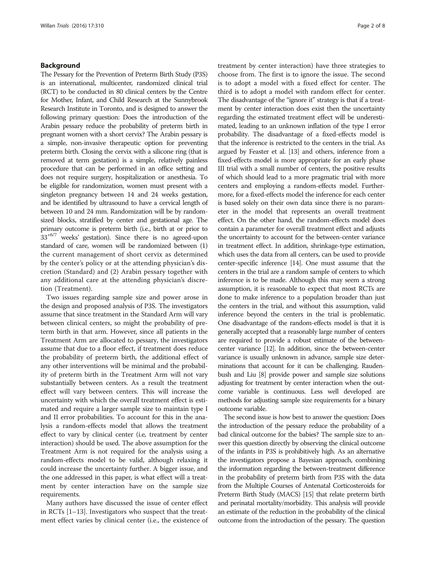### Background

The Pessary for the Prevention of Preterm Birth Study (P3S) is an international, multicenter, randomized clinical trial (RCT) to be conducted in 80 clinical centers by the Centre for Mother, Infant, and Child Research at the Sunnybrook Research Institute in Toronto, and is designed to answer the following primary question: Does the introduction of the Arabin pessary reduce the probability of preterm birth in pregnant women with a short cervix? The Arabin pessary is a simple, non-invasive therapeutic option for preventing preterm birth. Closing the cervix with a silicone ring (that is removed at term gestation) is a simple, relatively painless procedure that can be performed in an office setting and does not require surgery, hospitalization or anesthesia. To be eligible for randomization, women must present with a singleton pregnancy between 14 and 24 weeks gestation, and be identified by ultrasound to have a cervical length of between 10 and 24 mm. Randomization will be by randomsized blocks, stratified by center and gestational age. The primary outcome is preterm birth (i.e., birth at or prior to 33+6/7 weeks' gestation). Since there is no agreed-upon standard of care, women will be randomized between (1) the current management of short cervix as determined by the center's policy or at the attending physician's discretion (Standard) and (2) Arabin pessary together with any additional care at the attending physician's discretion (Treatment).

Two issues regarding sample size and power arose in the design and proposed analysis of P3S. The investigators assume that since treatment in the Standard Arm will vary between clinical centers, so might the probability of preterm birth in that arm. However, since all patients in the Treatment Arm are allocated to pessary, the investigators assume that due to a floor effect, if treatment does reduce the probability of preterm birth, the additional effect of any other interventions will be minimal and the probability of preterm birth in the Treatment Arm will not vary substantially between centers. As a result the treatment effect will vary between centers. This will increase the uncertainty with which the overall treatment effect is estimated and require a larger sample size to maintain type I and II error probabilities. To account for this in the analysis a random-effects model that allows the treatment effect to vary by clinical center (i.e, treatment by center interaction) should be used. The above assumption for the Treatment Arm is not required for the analysis using a random-effects model to be valid, although relaxing it could increase the uncertainty further. A bigger issue, and the one addressed in this paper, is what effect will a treatment by center interaction have on the sample size requirements.

Many authors have discussed the issue of center effect in RCTs [\[1](#page-7-0)–[13\]](#page-7-0). Investigators who suspect that the treatment effect varies by clinical center (i.e., the existence of treatment by center interaction) have three strategies to choose from. The first is to ignore the issue. The second is to adopt a model with a fixed effect for center. The third is to adopt a model with random effect for center. The disadvantage of the "ignore it" strategy is that if a treatment by center interaction does exist then the uncertainty regarding the estimated treatment effect will be underestimated, leading to an unknown inflation of the type I error probability. The disadvantage of a fixed-effects model is that the inference is restricted to the centers in the trial. As argued by Feaster et al. [\[13\]](#page-7-0) and others, inference from a fixed-effects model is more appropriate for an early phase III trial with a small number of centers, the positive results of which should lead to a more pragmatic trial with more centers and employing a random-effects model. Furthermore, for a fixed-effects model the inference for each center is based solely on their own data since there is no parameter in the model that represents an overall treatment effect. On the other hand, the random-effects model does contain a parameter for overall treatment effect and adjusts the uncertainty to account for the between-center variance in treatment effect. In addition, shrinkage-type estimation, which uses the data from all centers, can be used to provide center-specific inference [[14](#page-7-0)]. One must assume that the centers in the trial are a random sample of centers to which inference is to be made. Although this may seem a strong assumption, it is reasonable to expect that most RCTs are done to make inference to a population broader than just the centers in the trial, and without this assumption, valid inference beyond the centers in the trial is problematic. One disadvantage of the random-effects model is that it is generally accepted that a reasonably large number of centers are required to provide a robust estimate of the betweencenter variance [[12](#page-7-0)]. In addition, since the between-center variance is usually unknown in advance, sample size determinations that account for it can be challenging. Raudenbush and Liu [[8](#page-7-0)] provide power and sample size solutions adjusting for treatment by center interaction when the outcome variable is continuous. Less well developed are methods for adjusting sample size requirements for a binary outcome variable.

The second issue is how best to answer the question: Does the introduction of the pessary reduce the probability of a bad clinical outcome for the babies? The sample size to answer this question directly by observing the clinical outcome of the infants in P3S is prohibitively high. As an alternative the investigators propose a Bayesian approach, combining the information regarding the between-treatment difference in the probability of preterm birth from P3S with the data from the Multiple Courses of Antenatal Corticosteroids for Preterm Birth Study (MACS) [[15\]](#page-7-0) that relate preterm birth and perinatal mortality/morbidity. This analysis will provide an estimate of the reduction in the probability of the clinical outcome from the introduction of the pessary. The question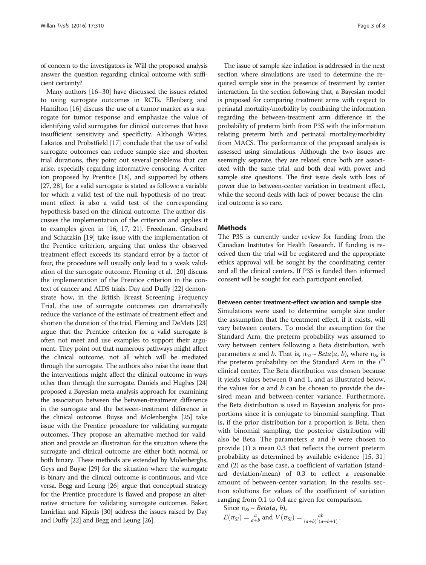of concern to the investigators is: Will the proposed analysis answer the question regarding clinical outcome with sufficient certainty?

Many authors [\[16](#page-7-0)–[30\]](#page-7-0) have discussed the issues related to using surrogate outcomes in RCTs. Ellenberg and Hamilton [[16](#page-7-0)] discuss the use of a tumor marker as a surrogate for tumor response and emphasize the value of identifying valid surrogates for clinical outcomes that have insufficient sensitivity and specificity. Although Wittes, Lakatos and Probstfield [[17](#page-7-0)] conclude that the use of valid surrogate outcomes can reduce sample size and shorten trial durations, they point out several problems that can arise, especially regarding informative censoring. A criterion proposed by Prentice [\[18\]](#page-7-0), and supported by others [[27](#page-7-0), [28\]](#page-7-0), for a valid surrogate is stated as follows: a variable for which a valid test of the null hypothesis of no treatment effect is also a valid test of the corresponding hypothesis based on the clinical outcome. The author discusses the implementation of the criterion and applies it to examples given in [[16](#page-7-0), [17, 21](#page-7-0)]. Freedman, Graubard and Schatzkin [\[19\]](#page-7-0) take issue with the implementation of the Prentice criterion, arguing that unless the observed treatment effect exceeds its standard error by a factor of four, the procedure will usually only lead to a weak validation of the surrogate outcome. Fleming et al. [[20](#page-7-0)] discuss the implementation of the Prentice criterion in the context of cancer and AIDS trials. Day and Duffy [[22](#page-7-0)] demonstrate how, in the British Breast Screening Frequency Trial, the use of surrogate outcomes can dramatically reduce the variance of the estimate of treatment effect and shorten the duration of the trial. Fleming and DeMets [[23](#page-7-0)] argue that the Prentice criterion for a valid surrogate is often not meet and use examples to support their argument. They point out that numerous pathways might affect the clinical outcome, not all which will be mediated through the surrogate. The authors also raise the issue that the interventions might affect the clinical outcome in ways other than through the surrogate. Daniels and Hughes [\[24](#page-7-0)] proposed a Bayesian meta-analysis approach for examining the association between the between-treatment difference in the surrogate and the between-treatment difference in the clinical outcome. Buyse and Molenberghs [\[25\]](#page-7-0) take issue with the Prentice procedure for validating surrogate outcomes. They propose an alternative method for validation and provide an illustration for the situation where the surrogate and clinical outcome are either both normal or both binary. These methods are extended by Molenberghs, Geys and Buyse [[29](#page-7-0)] for the situation where the surrogate is binary and the clinical outcome is continuous, and vice versa. Begg and Leung [[26](#page-7-0)] argue that conceptual strategy for the Prentice procedure is flawed and propose an alternative structure for validating surrogate outcomes. Baker, Izmirlian and Kipnis [\[30](#page-7-0)] address the issues raised by Day and Duffy [\[22](#page-7-0)] and Begg and Leung [\[26](#page-7-0)].

The issue of sample size inflation is addressed in the next section where simulations are used to determine the required sample size in the presence of treatment by center interaction. In the section following that, a Bayesian model is proposed for comparing treatment arms with respect to perinatal mortality/morbidity by combining the information regarding the between-treatment arm difference in the probability of preterm birth from P3S with the information relating preterm birth and perinatal mortality/morbidity from MACS. The performance of the proposed analysis is assessed using simulations. Although the two issues are seemingly separate, they are related since both are associated with the same trial, and both deal with power and sample size questions. The first issue deals with loss of power due to between-center variation in treatment effect, while the second deals with lack of power because the clinical outcome is so rare.

### **Methods**

The P3S is currently under review for funding from the Canadian Institutes for Health Research. If funding is received then the trial will be registered and the appropriate ethics approval will be sought by the coordinating center and all the clinical centers. If P3S is funded then informed consent will be sought for each participant enrolled.

#### Between center treatment-effect variation and sample size

Simulations were used to determine sample size under the assumption that the treatment effect, if it exists, will vary between centers. To model the assumption for the Standard Arm, the preterm probability was assumed to vary between centers following a Beta distribution, with parameters *a* and *b*. That is,  $\pi_{Si} \sim Beta(a, b)$ , where  $\pi_{Si}$  is the preterm probability on the Standard Arm in the  $i<sup>th</sup>$ clinical center. The Beta distribution was chosen because it yields values between 0 and 1, and as illustrated below, the values for  $a$  and  $b$  can be chosen to provide the desired mean and between-center variance. Furthermore, the Beta distribution is used in Bayesian analysis for proportions since it is conjugate to binomial sampling. That is, if the prior distribution for a proportion is Beta, then with binomial sampling, the posterior distribution will also be Beta. The parameters  $a$  and  $b$  were chosen to provide (1) a mean 0.3 that reflects the current preterm probability as determined by available evidence [[15, 31](#page-7-0)] and (2) as the base case, a coefficient of variation (standard deviation/mean) of 0.3 to reflect a reasonable amount of between-center variation. In the results section solutions for values of the coefficient of variation ranging from 0.1 to 0.4 are given for comparison.

Since 
$$
\pi_{Si} \sim Beta(a, b)
$$
,  
\n
$$
E(\pi_{Si}) = \frac{a}{a+b} \text{ and } V(\pi_{Si}) = \frac{ab}{(a+b)^2(a+b+1)},
$$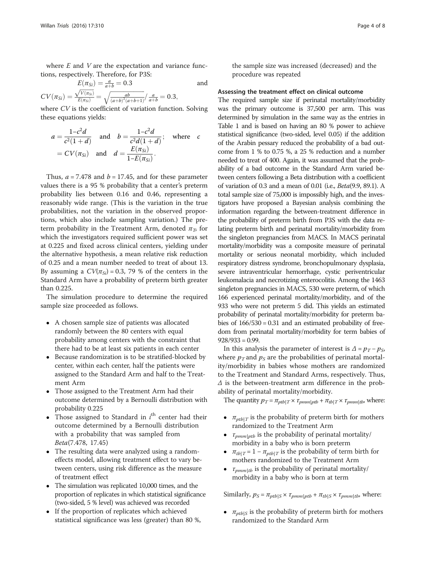where  $E$  and  $V$  are the expectation and variance functions, respectively. Therefore, for P3S:

$$
E(\pi_{Si}) = \frac{a}{a+b} = 0.3
$$
 and  

$$
CV(\pi_{Si}) = \frac{\sqrt{V(\pi_{Si})}}{E(\pi_{Si})} = \sqrt{\frac{ab}{(a+b)^2(a+b+1)}} / \frac{a}{a+b} = 0.3,
$$

where CV is the coefficient of variation function. Solving these equations yields:

$$
a = \frac{1 - c^2 d}{c^2 (1 + d)}
$$
 and 
$$
b = \frac{1 - c^2 d}{c^2 d (1 + d)};
$$
 where  $c$   
=  $C V(\pi_{Si})$  and  $d = \frac{E(\pi_{Si})}{1 - E(\pi_{Si})}.$ 

Thus,  $a = 7.478$  and  $b = 17.45$ , and for these parameter values there is a 95 % probability that a center's preterm probability lies between 0.16 and 0.46, representing a reasonably wide range. (This is the variation in the true probabilities, not the variation in the observed proportions, which also include sampling variation.) The preterm probability in the Treatment Arm, denoted  $\pi_{\mathcal{D}}$  for which the investigators required sufficient power was set at 0.225 and fixed across clinical centers, yielding under the alternative hypothesis, a mean relative risk reduction of 0.25 and a mean number needed to treat of about 13. By assuming a  $CV(\pi_{Si}) = 0.3$ , 79 % of the centers in the Standard Arm have a probability of preterm birth greater than 0.225.

The simulation procedure to determine the required sample size proceeded as follows.

- A chosen sample size of patients was allocated randomly between the 80 centers with equal probability among centers with the constraint that there had to be at least six patients in each center
- - Because randomization is to be stratified-blocked by center, within each center, half the patients were assigned to the Standard Arm and half to the Treatment Arm
- - Those assigned to the Treatment Arm had their outcome determined by a Bernoulli distribution with probability 0.225
- Those assigned to Standard in  $i<sup>th</sup>$  center had their outcome determined by a Bernoulli distribution with a probability that was sampled from Beta(7.478, 17.45)
- - The resulting data were analyzed using a randomeffects model, allowing treatment effect to vary between centers, using risk difference as the measure of treatment effect
- The simulation was replicated 10,000 times, and the proportion of replicates in which statistical significance (two-sided, 5 % level) was achieved was recorded
- - If the proportion of replicates which achieved statistical significance was less (greater) than 80 %,

the sample size was increased (decreased) and the procedure was repeated

### Assessing the treatment effect on clinical outcome

The required sample size if perinatal mortality/morbidity was the primary outcome is 37,500 per arm. This was determined by simulation in the same way as the entries in Table [1](#page-4-0) and is based on having an 80 % power to achieve statistical significance (two-sided, level 0.05) if the addition of the Arabin pessary reduced the probability of a bad outcome from 1 % to 0.75 %, a 25 % reduction and a number needed to treat of 400. Again, it was assumed that the probability of a bad outcome in the Standard Arm varied between centers following a Beta distribution with a coefficient of variation of 0.3 and a mean of 0.01 (i.e., Beta(9.9, 89.1). A total sample size of 75,000 is impossibly high, and the investigators have proposed a Bayesian analysis combining the information regarding the between-treatment difference in the probability of preterm birth from P3S with the data relating preterm birth and perinatal mortality/morbidity from the singleton pregnancies from MACS. In MACS perinatal mortality/morbidity was a composite measure of perinatal mortality or serious neonatal morbidity, which included respiratory distress syndrome, bronchopulmonary dysplasia, severe intraventricular hemorrhage, cystic periventricular leukomalacia and necrotizing enterocolitis. Among the 1463 singleton pregnancies in MACS, 530 were preterm, of which 166 experienced perinatal mortality/morbidity, and of the 933 who were not preterm 5 did. This yields an estimated probability of perinatal mortality/morbidity for preterm babies of 166/530 = 0.31 and an estimated probability of freedom from perinatal mortality/morbidity for term babies of  $928/933 = 0.99$ .

In this analysis the parameter of interest is  $\Delta = p_T - p_S$ , where  $p_T$  and  $p_S$  are the probabilities of perinatal mortality/morbidity in babies whose mothers are randomized to the Treatment and Standard Arms, respectively. Thus, Δ is the between-treatment arm difference in the probability of perinatal mortality/morbidity.

The quantity  $p_T = \pi_{ptb|T} \times \tau_{pmm|ptb} + \pi_{tb|T} \times \tau_{pmm|tb}$ , where:

- $\pi_{ptb|T}$  is the probability of preterm birth for mothers randomized to the Treatment Arm
- $\tau_{pmm|ptb}$  is the probability of perinatal mortality/ morbidity in a baby who is born preterm
- $\pi_{tb|T} = 1 \pi_{ptb|T}$  is the probability of term birth for mothers randomized to the Treatment Arm
- $\tau_{pmm|tb}$  is the probability of perinatal mortality/ morbidity in a baby who is born at term

Similarly,  $p_S = \pi_{ptb|S} \times \tau_{pmm|ptb} + \pi_{tb|S} \times \tau_{pmm|tb}$ , where:

•  $\pi_{ptb|S}$  is the probability of preterm birth for mothers randomized to the Standard Arm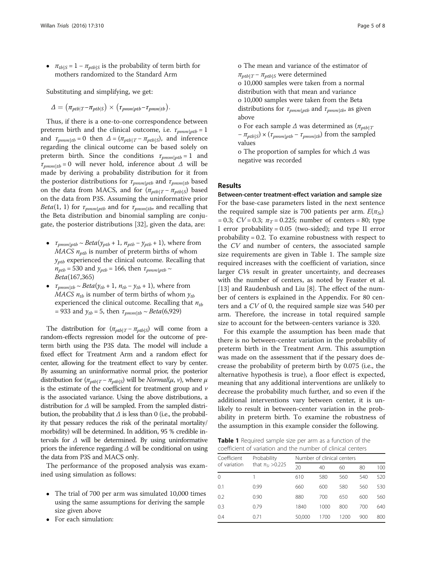<span id="page-4-0"></span>•  $\pi_{tb|S} = 1 - \pi_{ptb|S}$  is the probability of term birth for mothers randomized to the Standard Arm

Substituting and simplifying, we get:

$$
\Delta = (\pi_{ptb|T} - \pi_{ptb|S}) \times (\tau_{pmm|ptb} - \tau_{pmm|tb}).
$$

Thus, if there is a one-to-one correspondence between preterm birth and the clinical outcome, i.e.  $\tau_{pmm|ptb} = 1$ and  $\tau_{pmm|tb} = 0$  then  $\Delta = (\pi_{ptb|T} - \pi_{ptb|S})$ , and inference regarding the clinical outcome can be based solely on preterm birth. Since the conditions  $\tau_{pmm|ptb} = 1$  and  $\tau_{pmm1} = 0$  will never hold, inference about  $\Delta$  will be made by deriving a probability distribution for it from the posterior distributions for  $\tau_{pmm|ptb}$  and  $\tau_{pmm|tb}$  based on the data from MACS, and for  $(\pi_{ptb|T} - \pi_{ptb|S})$  based on the data from P3S. Assuming the uninformative prior *Beta*(1, 1) for  $\tau_{pmm|ptb}$  and for  $\tau_{pmm|tb}$ , and recalling that the Beta distribution and binomial sampling are conjugate, the posterior distributions [\[32](#page-7-0)], given the data, are:

- $\tau_{pmm|ptb} \sim Beta(y_{ptb} + 1, n_{ptb} y_{ptb} + 1)$ , where from  $MACS$   $n_{ptb}$  is number of preterm births of whom  $y_{ptb}$  experienced the clinical outcome. Recalling that  $n_{ptb}$  = 530 and  $y_{ptb}$  = 166, then  $\tau_{pmm|ptb}$  ~ Beta(167,365)
- $\tau_{pmm|tb} \sim Beta(y_{tb} + 1, n_{tb} y_{tb} + 1)$ , where from *MACS*  $n_{tb}$  is number of term births of whom  $y_{tb}$ experienced the clinical outcome. Recalling that  $n_{tb}$ = 933 and  $y_{tb}$  = 5, then  $\tau_{pmm|tb} \sim Beta(6,929)$

The distribution for  $(\pi_{ptb|T} - \pi_{ptb|S})$  will come from a random-effects regression model for the outcome of preterm birth using the P3S data. The model will include a fixed effect for Treatment Arm and a random effect for center, allowing for the treatment effect to vary by center. By assuming an uninformative normal prior, the posterior distribution for  $(\pi_{ptb|T} - \pi_{ptb|S})$  will be *Normal*( $\mu$ ,  $\nu$ ), where  $\mu$ is the estimate of the coefficient for treatment group and  $\nu$ is the associated variance. Using the above distributions, a distribution for  $\Delta$  will be sampled. From the sampled distribution, the probability that  $\Delta$  is less than 0 (i.e., the probability that pessary reduces the risk of the perinatal mortality/ morbidity) will be determined. In addition, 95 % credible intervals for  $\Delta$  will be determined. By using uninformative priors the inference regarding  $\Delta$  will be conditional on using the data from P3S and MACS only.

The performance of the proposed analysis was examined using simulation as follows:

- The trial of 700 per arm was simulated 10,000 times using the same assumptions for deriving the sample size given above
- $\bullet$ For each simulation:

o The mean and variance of the estimator of  $\pi_{nth|T}$  –  $\pi_{nth|S}$  were determined

o 10,000 samples were taken from a normal distribution with that mean and variance o 10,000 samples were taken from the Beta

distributions for  $\tau_{pmm|ptb}$  and  $\tau_{pmm|tb}$ , as given above

o For each sample  $\Delta$  was determined as  $(\pi_{ptblT})$  $-\pi_{ptb|S}$  × ( $\tau_{pmm|ptb}$  –  $\tau_{pmm|tb}$ ) from the sampled values

o The proportion of samples for which Δ was negative was recorded

### Results

Between-center treatment-effect variation and sample size For the base-case parameters listed in the next sentence the required sample size is 700 patients per arm.  $E(\pi_{Si})$ = 0.3;  $CV = 0.3$ ;  $\pi_T = 0.225$ ; number of centers = 80; type I error probability = 0.05 (two-sided); and type II error probability = 0.2. To examine robustness with respect to the CV and number of centers, the associated sample size requirements are given in Table 1. The sample size required increases with the coefficient of variation, since larger CVs result in greater uncertainty, and decreases with the number of centers, as noted by Feaster et al. [[13\]](#page-7-0) and Raudenbush and Liu [\[8](#page-7-0)]. The effect of the number of centers is explained in the [Appendix.](#page-6-0) For 80 centers and a CV of 0, the required sample size was 540 per arm. Therefore, the increase in total required sample size to account for the between-centers variance is 320.

For this example the assumption has been made that there is no between-center variation in the probability of preterm birth in the Treatment Arm. This assumption was made on the assessment that if the pessary does decrease the probability of preterm birth by 0.075 (i.e., the alternative hypothesis is true), a floor effect is expected, meaning that any additional interventions are unlikely to decrease the probability much further, and so even if the additional interventions vary between center, it is unlikely to result in between-center variation in the probability in preterm birth. To examine the robustness of the assumption in this example consider the following.

Table 1 Required sample size per arm as a function of the coefficient of variation and the number of clinical centers

| Probability<br>that $πsi > 0.225$ | Number of clinical centers |      |      |     |     |  |
|-----------------------------------|----------------------------|------|------|-----|-----|--|
|                                   | 20                         | 40   | 60   | 80  | 100 |  |
|                                   | 610                        | 580  | 560  | 540 | 520 |  |
| 0.99                              | 660                        | 600  | 580  | 560 | 530 |  |
| 0.90                              | 880                        | 700  | 650  | 600 | 560 |  |
| 0.79                              | 1840                       | 1000 | 800  | 700 | 640 |  |
| 0.71                              | 50,000                     | 1700 | 1200 | 900 | 800 |  |
|                                   |                            |      |      |     |     |  |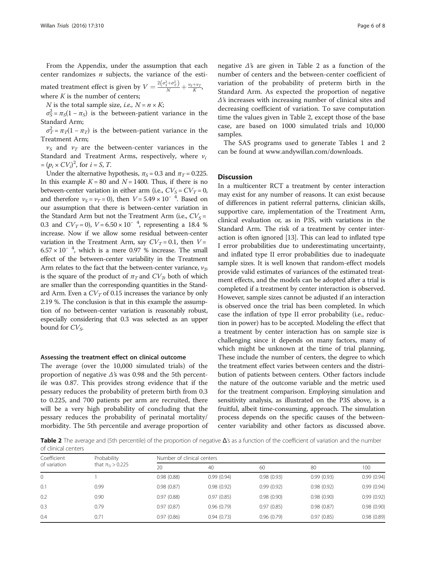From the Appendix, under the assumption that each center randomizes  $n$  subjects, the variance of the esti-

mated treatment effect is given by  $V = \frac{2(\sigma_S^2 + \sigma_T^2)}{N} + \frac{v_S + v_T}{K}$ where  $K$  is the number of centers;

*N* is the total sample size, *i.e.*,  $N = n \times K$ ;

 $\sigma_S^2 = \pi_S(1 - \pi_S)$  is the between-patient variance in the Standard Arm;

 $\sigma_T^2 = \pi_T(1 - \pi_T)$  is the between-patient variance in the Treatment Arm;

 $v<sub>S</sub>$  and  $v<sub>T</sub>$  are the between-center variances in the Standard and Treatment Arms, respectively, where  $v_i$  $=(p_i \times CV_i)^2$ , for  $i = S$ , T.

Under the alternative hypothesis,  $\pi_S = 0.3$  and  $\pi_T = 0.225$ . In this example  $K = 80$  and  $N = 1400$ . Thus, if there is no between-center variation in either arm (i.e.,  $CV_S = CV_T = 0$ , and therefore  $v_s = v_T = 0$ ), then  $V = 5.49 \times 10^{-4}$ . Based on our assumption that there is between-center variation in the Standard Arm but not the Treatment Arm (i.e.,  $CV_s =$ 0.3 and  $CV_T = 0$ ),  $V = 6.50 \times 10^{-4}$ , representing a 18.4 % increase. Now if we allow some residual between-center variation in the Treatment Arm, say  $CV_T = 0.1$ , then  $V =$  $6.57 \times 10^{-4}$ , which is a mere 0.97 % increase. The small effect of the between-center variability in the Treatment Arm relates to the fact that the between-center variance,  $v_T$ , is the square of the product of  $\pi<sub>T</sub>$  and  $CV<sub>T</sub>$ , both of which are smaller than the corresponding quantities in the Standard Arm. Even a  $CV<sub>T</sub>$  of 0.15 increases the variance by only 2.19 %. The conclusion is that in this example the assumption of no between-center variation is reasonably robust, especially considering that 0.3 was selected as an upper bound for  $CV<sub>S</sub>$ .

#### Assessing the treatment effect on clinical outcome

The average (over the 10,000 simulated trials) of the proportion of negative Δ's was 0.98 and the 5th percentile was 0.87. This provides strong evidence that if the pessary reduces the probability of preterm birth from 0.3 to 0.225, and 700 patients per arm are recruited, there will be a very high probability of concluding that the pessary reduces the probability of perinatal mortality/ morbidity. The 5th percentile and average proportion of

negative Δ's are given in Table 2 as a function of the number of centers and the between-center coefficient of variation of the probability of preterm birth in the Standard Arm. As expected the proportion of negative Δ's increases with increasing number of clinical sites and decreasing coefficient of variation. To save computation time the values given in Table 2, except those of the base case, are based on 1000 simulated trials and 10,000 samples.

The SAS programs used to generate Tables [1](#page-4-0) and 2 can be found at [www.andywillan.com/downloads](http://www.andywillan.com/downloads).

### **Discussion**

In a multicenter RCT a treatment by center interaction may exist for any number of reasons. It can exist because of differences in patient referral patterns, clinician skills, supportive care, implementation of the Treatment Arm, clinical evaluation or, as in P3S, with variations in the Standard Arm. The risk of a treatment by center interaction is often ignored [\[13\]](#page-7-0). This can lead to inflated type I error probabilities due to underestimating uncertainty, and inflated type II error probabilities due to inadequate sample sizes. It is well known that random-effect models provide valid estimates of variances of the estimated treatment effects, and the models can be adopted after a trial is completed if a treatment by center interaction is observed. However, sample sizes cannot be adjusted if an interaction is observed once the trial has been completed. In which case the inflation of type II error probability (i.e., reduction in power) has to be accepted. Modeling the effect that a treatment by center interaction has on sample size is challenging since it depends on many factors, many of which might be unknown at the time of trial planning. These include the number of centers, the degree to which the treatment effect varies between centers and the distribution of patients between centers. Other factors include the nature of the outcome variable and the metric used for the treatment comparison. Employing simulation and sensitivity analysis, as illustrated on the P3S above, is a fruitful, albeit time-consuming, approach. The simulation process depends on the specific causes of the betweencenter variability and other factors as discussed above.

Table 2 The average and (5th percentile) of the proportion of negative Δ's as a function of the coefficient of variation and the number of clinical centers

| Coefficient<br>of variation | Probability<br>that $\pi_{\rm Si} > 0.225$ | Number of clinical centers |            |            |            |            |  |  |
|-----------------------------|--------------------------------------------|----------------------------|------------|------------|------------|------------|--|--|
|                             |                                            | 20                         | 40         | 60         | 80         | 100        |  |  |
| 0                           |                                            | 0.98(0.88)                 | 0.99(0.94) | 0.98(0.93) | 0.99(0.93) | 0.99(0.94) |  |  |
| 0.1                         | 0.99                                       | 0.98(0.87)                 | 0.98(0.92) | 0.99(0.92) | 0.98(0.92) | 0.99(0.94) |  |  |
| 0.2                         | 0.90                                       | 0.97(0.88)                 | 0.97(0.85) | 0.98(0.90) | 0.98(0.90) | 0.99(0.92) |  |  |
| 0.3                         | 0.79                                       | 0.97(0.87)                 | 0.96(0.79) | 0.97(0.85) | 0.98(0.87) | 0.98(0.90) |  |  |
| 0.4                         | 0.71                                       | 0.97(0.86)                 | 0.94(0.73) | 0.96(0.79) | 0.97(0.85) | 0.98(0.89) |  |  |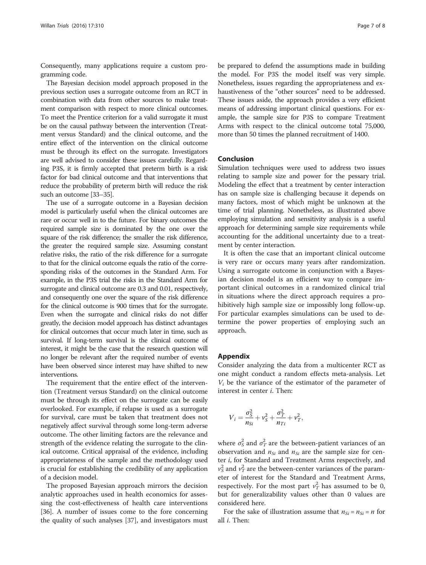<span id="page-6-0"></span>Consequently, many applications require a custom programming code.

The Bayesian decision model approach proposed in the previous section uses a surrogate outcome from an RCT in combination with data from other sources to make treatment comparison with respect to more clinical outcomes. To meet the Prentice criterion for a valid surrogate it must be on the causal pathway between the intervention (Treatment versus Standard) and the clinical outcome, and the entire effect of the intervention on the clinical outcome must be through its effect on the surrogate. Investigators are well advised to consider these issues carefully. Regarding P3S, it is firmly accepted that preterm birth is a risk factor for bad clinical outcome and that interventions that reduce the probability of preterm birth will reduce the risk such an outcome [\[33](#page-7-0)–[35](#page-7-0)].

The use of a surrogate outcome in a Bayesian decision model is particularly useful when the clinical outcomes are rare or occur well in to the future. For binary outcomes the required sample size is dominated by the one over the square of the risk difference; the smaller the risk difference, the greater the required sample size. Assuming constant relative risks, the ratio of the risk difference for a surrogate to that for the clinical outcome equals the ratio of the corresponding risks of the outcomes in the Standard Arm. For example, in the P3S trial the risks in the Standard Arm for surrogate and clinical outcome are 0.3 and 0.01, respectively, and consequently one over the square of the risk difference for the clinical outcome is 900 times that for the surrogate. Even when the surrogate and clinical risks do not differ greatly, the decision model approach has distinct advantages for clinical outcomes that occur much later in time, such as survival. If long-term survival is the clinical outcome of interest, it might be the case that the research question will no longer be relevant after the required number of events have been observed since interest may have shifted to new interventions.

The requirement that the entire effect of the intervention (Treatment versus Standard) on the clinical outcome must be through its effect on the surrogate can be easily overlooked. For example, if relapse is used as a surrogate for survival, care must be taken that treatment does not negatively affect survival through some long-term adverse outcome. The other limiting factors are the relevance and strength of the evidence relating the surrogate to the clinical outcome. Critical appraisal of the evidence, including appropriateness of the sample and the methodology used is crucial for establishing the credibility of any application of a decision model.

The proposed Bayesian approach mirrors the decision analytic approaches used in health economics for assessing the cost-effectiveness of health care interventions [[36\]](#page-7-0). A number of issues come to the fore concerning the quality of such analyses [[37\]](#page-7-0), and investigators must

be prepared to defend the assumptions made in building the model. For P3S the model itself was very simple. Nonetheless, issues regarding the appropriateness and exhaustiveness of the "other sources" need to be addressed. These issues aside, the approach provides a very efficient means of addressing important clinical questions. For example, the sample size for P3S to compare Treatment Arms with respect to the clinical outcome total 75,000, more than 50 times the planned recruitment of 1400.

### Conclusion

Simulation techniques were used to address two issues relating to sample size and power for the pessary trial. Modeling the effect that a treatment by center interaction has on sample size is challenging because it depends on many factors, most of which might be unknown at the time of trial planning. Nonetheless, as illustrated above employing simulation and sensitivity analysis is a useful approach for determining sample size requirements while accounting for the additional uncertainty due to a treatment by center interaction.

It is often the case that an important clinical outcome is very rare or occurs many years after randomization. Using a surrogate outcome in conjunction with a Bayesian decision model is an efficient way to compare important clinical outcomes in a randomized clinical trial in situations where the direct approach requires a prohibitively high sample size or impossibly long follow-up. For particular examples simulations can be used to determine the power properties of employing such an approach.

#### Appendix

Consider analyzing the data from a multicenter RCT as one might conduct a random effects meta-analysis. Let  $V_i$  be the variance of the estimator of the parameter of interest in center i. Then:

$$
V_i = \frac{\sigma_S^2}{n_{Si}} + v_S^2 + \frac{\sigma_T^2}{n_{Ti}} + v_T^2,
$$

where  $\sigma_S^2$  and  $\sigma_T^2$  are the between-patient variances of an observation and  $n_{Si}$  and  $n_{Si}$  are the sample size for center i, for Standard and Treatment Arms respectively, and  $v_S^2$  and  $v_T^2$  are the between-center variances of the parameter of interest for the Standard and Treatment Arms, respectively. For the most part  $v_T^2$  has assumed to be 0, but for generalizability values other than 0 values are considered here.

For the sake of illustration assume that  $n_{Si} = n_{Si} = n$  for all i. Then: